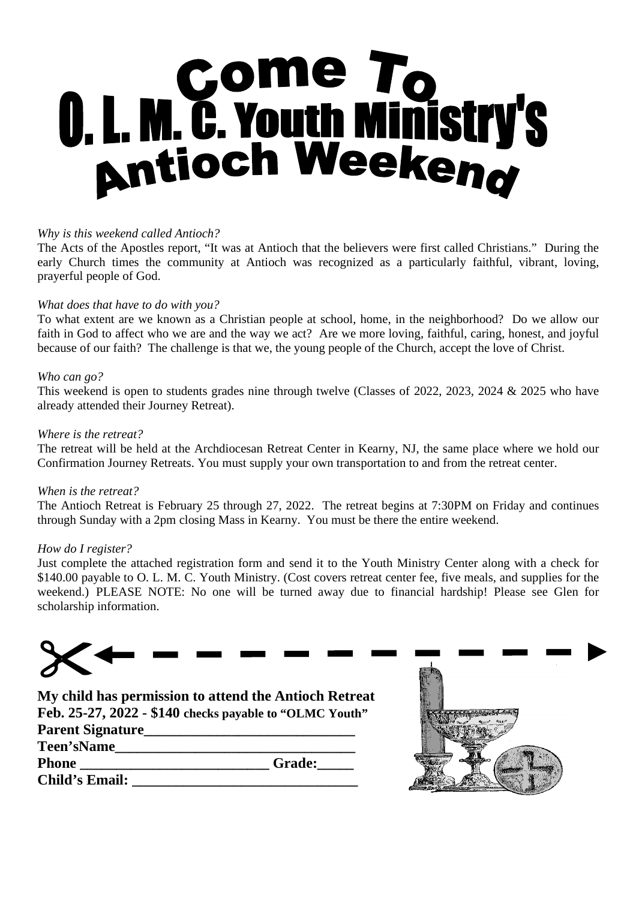# **0. L. M. C. Youth Ministry's<br>Antioch Weekeng**

### *Why is this weekend called Antioch?*

The Acts of the Apostles report, "It was at Antioch that the believers were first called Christians." During the early Church times the community at Antioch was recognized as a particularly faithful, vibrant, loving, prayerful people of God.

### *What does that have to do with you?*

To what extent are we known as a Christian people at school, home, in the neighborhood? Do we allow our faith in God to affect who we are and the way we act? Are we more loving, faithful, caring, honest, and joyful because of our faith? The challenge is that we, the young people of the Church, accept the love of Christ.

### *Who can go?*

This weekend is open to students grades nine through twelve (Classes of 2022, 2023, 2024 & 2025 who have already attended their Journey Retreat).

### *Where is the retreat?*

The retreat will be held at the Archdiocesan Retreat Center in Kearny, NJ, the same place where we hold our Confirmation Journey Retreats. You must supply your own transportation to and from the retreat center.

### *When is the retreat?*

The Antioch Retreat is February 25 through 27, 2022. The retreat begins at 7:30PM on Friday and continues through Sunday with a 2pm closing Mass in Kearny. You must be there the entire weekend.

### *How do I register?*

Just complete the attached registration form and send it to the Youth Ministry Center along with a check for \$140.00 payable to O. L. M. C. Youth Ministry. (Cost covers retreat center fee, five meals, and supplies for the weekend.) PLEASE NOTE: No one will be turned away due to financial hardship! Please see Glen for scholarship information.



**My child has permission to attend the Antioch Retreat Feb. 25-27, 2022 - \$140 checks payable to "OLMC Youth" Parent Signature\_\_\_\_\_\_\_\_\_\_\_\_\_\_\_\_\_\_\_\_\_\_\_\_\_\_\_\_\_**

| r arcın əigilatur ç   |               |
|-----------------------|---------------|
| <b>Teen'sName</b>     |               |
| Phone                 | <b>Grade:</b> |
| <b>Child's Email:</b> |               |

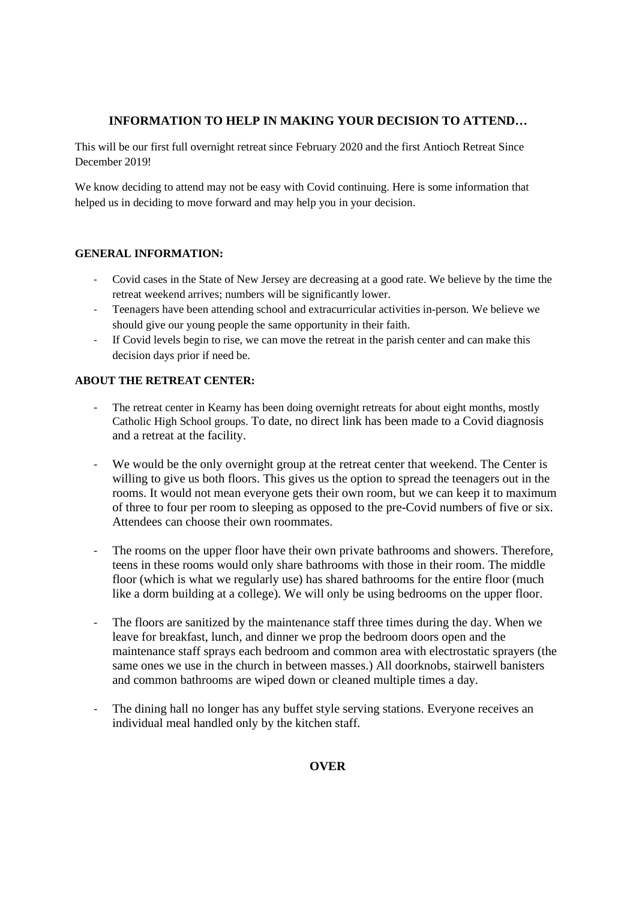### **INFORMATION TO HELP IN MAKING YOUR DECISION TO ATTEND…**

This will be our first full overnight retreat since February 2020 and the first Antioch Retreat Since December 2019!

We know deciding to attend may not be easy with Covid continuing. Here is some information that helped us in deciding to move forward and may help you in your decision.

### **GENERAL INFORMATION:**

- Covid cases in the State of New Jersey are decreasing at a good rate. We believe by the time the retreat weekend arrives; numbers will be significantly lower.
- Teenagers have been attending school and extracurricular activities in-person. We believe we should give our young people the same opportunity in their faith.
- If Covid levels begin to rise, we can move the retreat in the parish center and can make this decision days prior if need be.

### **ABOUT THE RETREAT CENTER:**

- The retreat center in Kearny has been doing overnight retreats for about eight months, mostly Catholic High School groups. To date, no direct link has been made to a Covid diagnosis and a retreat at the facility.
- We would be the only overnight group at the retreat center that weekend. The Center is willing to give us both floors. This gives us the option to spread the teenagers out in the rooms. It would not mean everyone gets their own room, but we can keep it to maximum of three to four per room to sleeping as opposed to the pre-Covid numbers of five or six. Attendees can choose their own roommates.
- The rooms on the upper floor have their own private bathrooms and showers. Therefore, teens in these rooms would only share bathrooms with those in their room. The middle floor (which is what we regularly use) has shared bathrooms for the entire floor (much like a dorm building at a college). We will only be using bedrooms on the upper floor.
- The floors are sanitized by the maintenance staff three times during the day. When we leave for breakfast, lunch, and dinner we prop the bedroom doors open and the maintenance staff sprays each bedroom and common area with electrostatic sprayers (the same ones we use in the church in between masses.) All doorknobs, stairwell banisters and common bathrooms are wiped down or cleaned multiple times a day.
- The dining hall no longer has any buffet style serving stations. Everyone receives an individual meal handled only by the kitchen staff.

**OVER**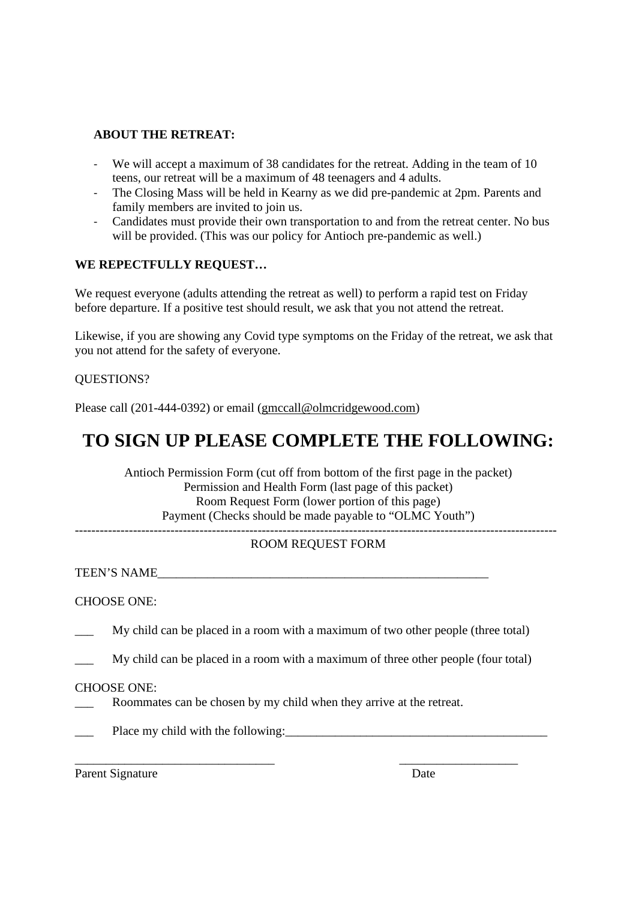### **ABOUT THE RETREAT:**

- We will accept a maximum of 38 candidates for the retreat. Adding in the team of 10 teens, our retreat will be a maximum of 48 teenagers and 4 adults.
- The Closing Mass will be held in Kearny as we did pre-pandemic at 2pm. Parents and family members are invited to join us.
- Candidates must provide their own transportation to and from the retreat center. No bus will be provided. (This was our policy for Antioch pre-pandemic as well.)

### **WE REPECTFULLY REQUEST…**

We request everyone (adults attending the retreat as well) to perform a rapid test on Friday before departure. If a positive test should result, we ask that you not attend the retreat.

Likewise, if you are showing any Covid type symptoms on the Friday of the retreat, we ask that you not attend for the safety of everyone.

### QUESTIONS?

Please call (201-444-0392) or email (gmccall@olmcridgewood.com)

## **TO SIGN UP PLEASE COMPLETE THE FOLLOWING:**

Antioch Permission Form (cut off from bottom of the first page in the packet) Permission and Health Form (last page of this packet) Room Request Form (lower portion of this page) Payment (Checks should be made payable to "OLMC Youth")

### -------------------------------------------------------------------------------------------------------------------- ROOM REQUEST FORM

TEEN'S NAME

### CHOOSE ONE:

My child can be placed in a room with a maximum of two other people (three total)

My child can be placed in a room with a maximum of three other people (four total)

### CHOOSE ONE:

- Roommates can be chosen by my child when they arrive at the retreat.
- Place my child with the following:

\_\_\_\_\_\_\_\_\_\_\_\_\_\_\_\_\_\_\_\_\_\_\_\_\_\_\_\_\_\_\_\_ \_\_\_\_\_\_\_\_\_\_\_\_\_\_\_\_\_\_\_

Parent Signature Date